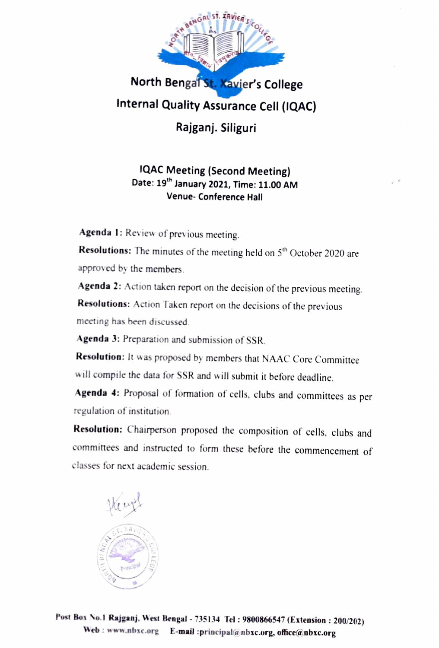

IQAC Meeting (Second Meeting)<br>Date: 19<sup>th</sup> January 2021, Time: 11.00 AM Venue-Conference Hall

Agenda 1: Review of previous meeting.

Resolutions: The minutes of the meeting held on 5<sup>th</sup> October 2020 are approved by the members.

Agenda 2: Action taken report on the decision of the previous meeting.

Resolutions: Action Taken report on the decisions of the previous meeting has been discussed.

Agenda 3: Preparation and submission of SSR.

Resolution: It was proposed by members that NAAC Core Committee will compile the data for SSR and will submit it before deadline.

Agenda 4: Proposal of formation of cells, clubs and committees as per regulation of institution

Resolution: Chairperson proposed the composition of cells, clubs and committees and instructed to form these before the commencement of classes for next academic session.



Post Box No.1 Rajganj, West Bengal - 735134 Tel: 9800866547 (Extension: 200/202) Web: www.nbxc.org E-mail :principal@nbxc.org, office@nbxc.org